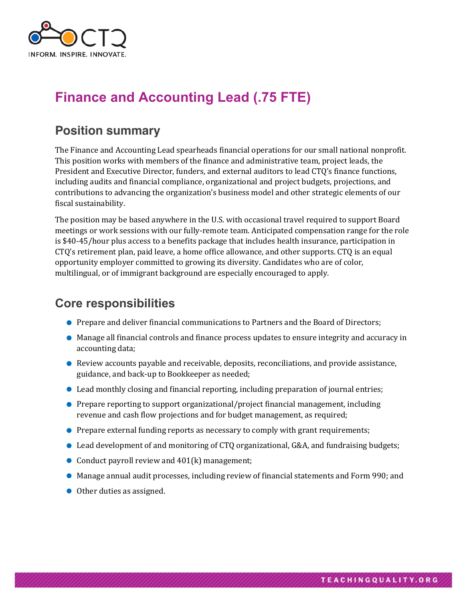

# **Finance and Accounting Lead (.75 FTE)**

#### **Position summary**

The Finance and Accounting Lead spearheads financial operations for our small national nonprofit. This position works with members of the finance and administrative team, project leads, the President and Executive Director, funders, and external auditors to lead CTQ's finance functions, including audits and financial compliance, organizational and project budgets, projections, and contributions to advancing the organization's business model and other strategic elements of our fiscal sustainability.

The position may be based anywhere in the U.S. with occasional travel required to support Board meetings or work sessions with our fully-remote team. Anticipated compensation range for the role is \$40-45/hour plus access to a benefits package that includes health insurance, participation in CTO's retirement plan, paid leave, a home office allowance, and other supports. CTO is an equal opportunity employer committed to growing its diversity. Candidates who are of color, multilingual, or of immigrant background are especially encouraged to apply.

## **Core responsibilities**

- Prepare and deliver financial communications to Partners and the Board of Directors;
- Manage all financial controls and finance process updates to ensure integrity and accuracy in accounting data;
- Review accounts payable and receivable, deposits, reconciliations, and provide assistance, guidance, and back-up to Bookkeeper as needed;
- Lead monthly closing and financial reporting, including preparation of journal entries;
- $\bullet$  Prepare reporting to support organizational/project financial management, including revenue and cash flow projections and for budget management, as required;
- $\bullet$  Prepare external funding reports as necessary to comply with grant requirements;
- Lead development of and monitoring of CTQ organizational, G&A, and fundraising budgets;
- Conduct payroll review and  $401(k)$  management;
- Manage annual audit processes, including review of financial statements and Form 990; and
- $\bullet$  Other duties as assigned.